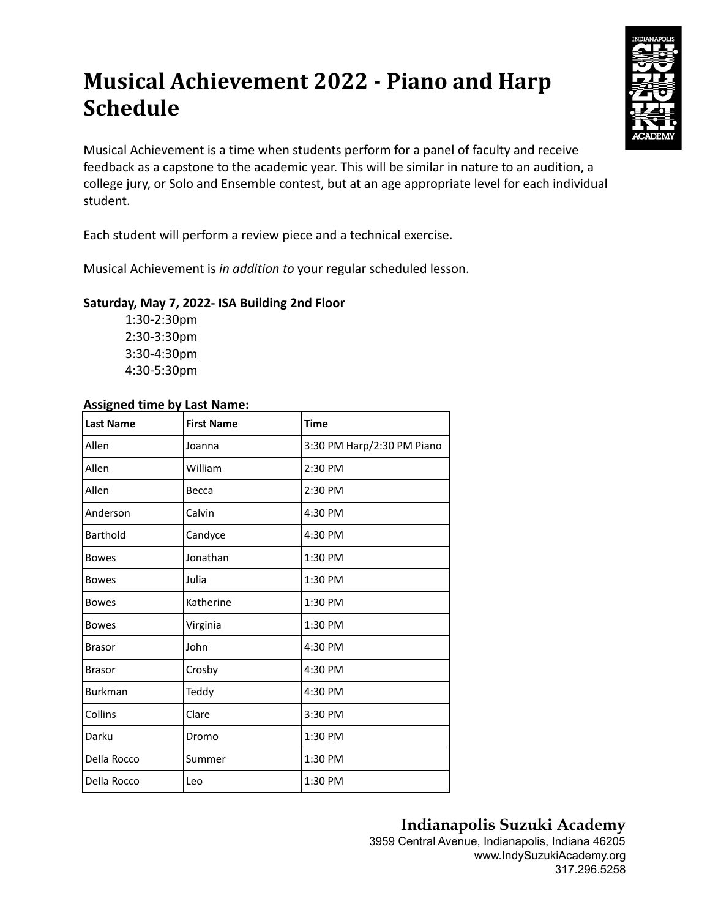# **Musical Achievement 2022 - Piano and Harp Schedule**



Musical Achievement is a time when students perform for a panel of faculty and receive feedback as a capstone to the academic year. This will be similar in nature to an audition, a college jury, or Solo and Ensemble contest, but at an age appropriate level for each individual student.

Each student will perform a review piece and a technical exercise.

Musical Achievement is *in addition to* your regular scheduled lesson.

#### **Saturday, May 7, 2022- ISA Building 2nd Floor**

1:30-2:30pm 2:30-3:30pm 3:30-4:30pm 4:30-5:30pm

#### **Assigned time by Last Name:**

| <b>Last Name</b> | <b>First Name</b> | <b>Time</b>                |
|------------------|-------------------|----------------------------|
| Allen            | Joanna            | 3:30 PM Harp/2:30 PM Piano |
| Allen            | William           | 2:30 PM                    |
| Allen            | Becca             | 2:30 PM                    |
| Anderson         | Calvin            | 4:30 PM                    |
| Barthold         | Candyce           | 4:30 PM                    |
| <b>Bowes</b>     | Jonathan          | 1:30 PM                    |
| <b>Bowes</b>     | Julia             | 1:30 PM                    |
| <b>Bowes</b>     | Katherine         | 1:30 PM                    |
| <b>Bowes</b>     | Virginia          | 1:30 PM                    |
| <b>Brasor</b>    | John              | 4:30 PM                    |
| <b>Brasor</b>    | Crosby            | 4:30 PM                    |
| <b>Burkman</b>   | Teddy             | 4:30 PM                    |
| Collins          | Clare             | 3:30 PM                    |
| Darku            | Dromo             | 1:30 PM                    |
| Della Rocco      | Summer            | 1:30 PM                    |
| Della Rocco      | Leo               | 1:30 PM                    |

## **Indianapolis Suzuki Academy**

3959 Central Avenue, Indianapolis, Indiana 46205 www.IndySuzukiAcademy.org 317.296.5258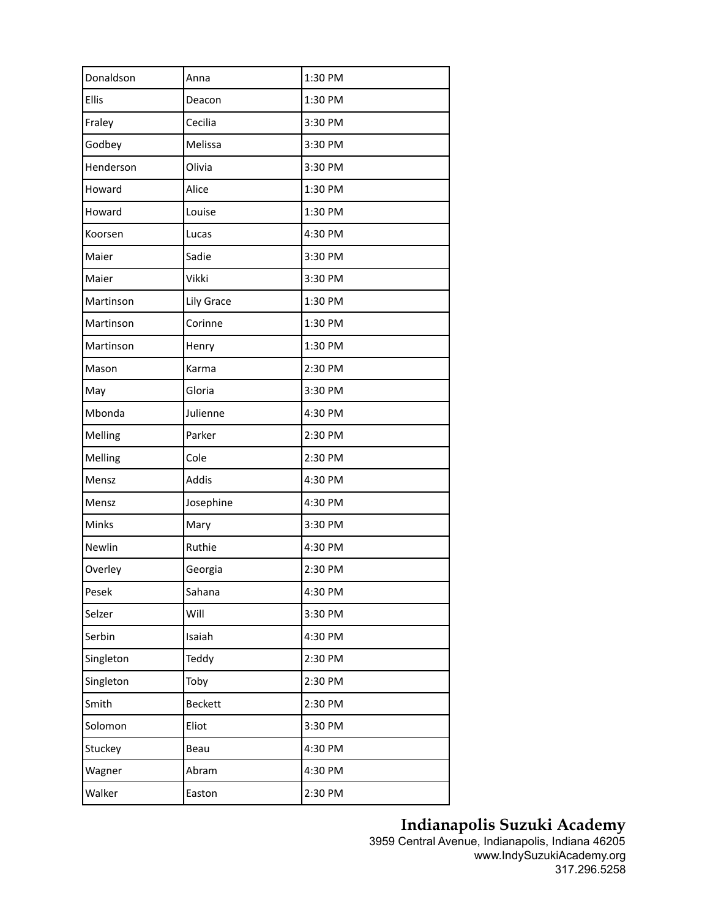| Donaldson    | Anna           | 1:30 PM |
|--------------|----------------|---------|
| <b>Ellis</b> | Deacon         | 1:30 PM |
| Fraley       | Cecilia        | 3:30 PM |
| Godbey       | Melissa        | 3:30 PM |
| Henderson    | Olivia         | 3:30 PM |
| Howard       | Alice          | 1:30 PM |
|              |                |         |
| Howard       | Louise         | 1:30 PM |
| Koorsen      | Lucas          | 4:30 PM |
| Maier        | Sadie          | 3:30 PM |
| Maier        | Vikki          | 3:30 PM |
| Martinson    | Lily Grace     | 1:30 PM |
| Martinson    | Corinne        | 1:30 PM |
| Martinson    | Henry          | 1:30 PM |
| Mason        | Karma          | 2:30 PM |
| May          | Gloria         | 3:30 PM |
| Mbonda       | Julienne       | 4:30 PM |
| Melling      | Parker         | 2:30 PM |
| Melling      | Cole           | 2:30 PM |
| Mensz        | Addis          | 4:30 PM |
| Mensz        | Josephine      | 4:30 PM |
| Minks        | Mary           | 3:30 PM |
| Newlin       | Ruthie         | 4:30 PM |
| Overley      | Georgia        | 2:30 PM |
| Pesek        | Sahana         | 4:30 PM |
| Selzer       | Will           | 3:30 PM |
| Serbin       | Isaiah         | 4:30 PM |
| Singleton    | Teddy          | 2:30 PM |
| Singleton    | Toby           | 2:30 PM |
| Smith        | <b>Beckett</b> | 2:30 PM |
| Solomon      | Eliot          | 3:30 PM |
| Stuckey      | Beau           | 4:30 PM |
| Wagner       | Abram          | 4:30 PM |
| Walker       | Easton         | 2:30 PM |
|              |                |         |

### **Indianapolis Suzuki Academy**

3959 Central Avenue, Indianapolis, Indiana 46205 www.IndySuzukiAcademy.org 317.296.5258